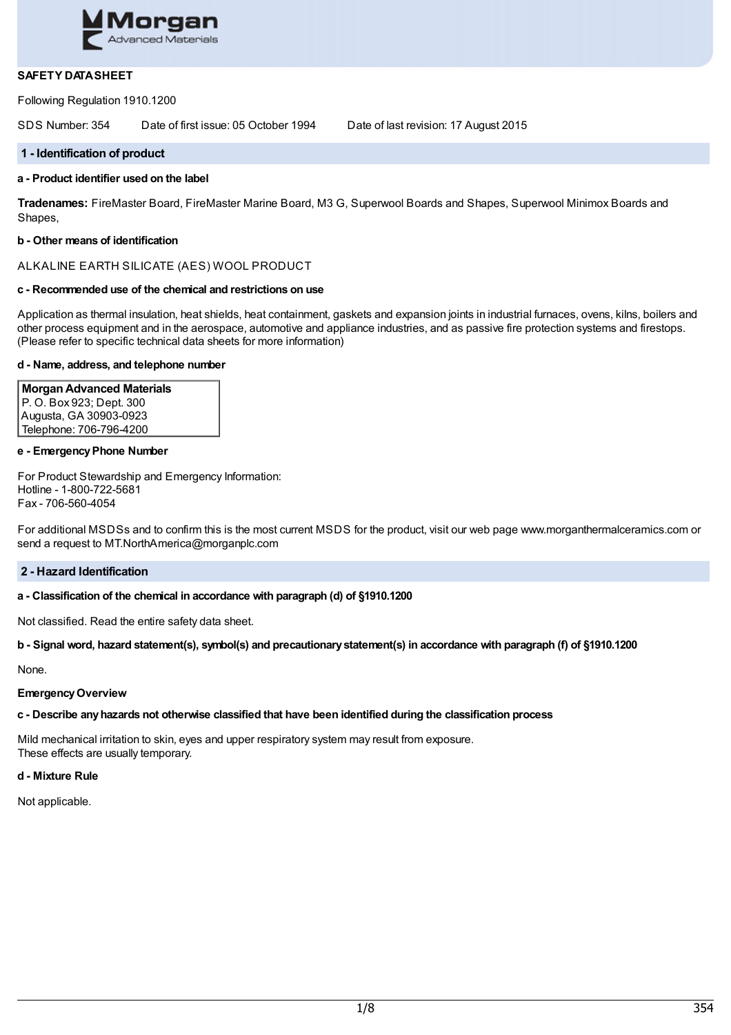

# **SAFETY DATASHEET**

Following Regulation 1910.1200

SDS Number: 354 Date of first issue: 05 October 1994 Date of last revision: 17 August 2015

#### **1 - Identification of product**

#### **a - Product identifier used on the label**

**Tradenames:** FireMaster Board, FireMaster Marine Board, M3 G, Superwool Boards and Shapes, Superwool Minimox Boards and Shapes,

#### **b - Other means of identification**

# ALKALINE EARTH SILICATE (AES) WOOL PRODUCT

#### **c - Recommended use of the chemical and restrictions on use**

Application as thermal insulation, heat shields, heat containment, gaskets and expansion joints in industrial furnaces, ovens, kilns, boilers and other process equipment and in the aerospace, automotive and appliance industries, and as passive fire protection systems and firestops. (Please refer to specific technical data sheets for more information)

#### **d - Name, address, and telephone number**

**MorganAdvanced Materials** P. O. Box 923; Dept. 300 Augusta, GA 30903-0923 Telephone: 706-796-4200

#### **e - EmergencyPhone Number**

For Product Stewardship and Emergency Information: Hotline - 1-800-722-5681 Fax - 706-560-4054

For additional MSDSs and to confirm this is the most current MSDS for the product, visit our web page www.morganthermalceramics.com or send a request to MT.NorthAmerica@morganplc.com

#### **2 - Hazard Identification**

#### **a - Classification of the chemical in accordance with paragraph (d) of §1910.1200**

Not classified. Read the entire safety data sheet.

#### b - Signal word, hazard statement(s), symbol(s) and precautionary statement(s) in accordance with paragraph (f) of §1910.1200

None.

#### **EmergencyOverview**

# **c - Describe anyhazards not otherwise classified that have been identified during the classification process**

Mild mechanical irritation to skin, eyes and upper respiratory system may result from exposure. These effects are usually temporary.

#### **d - Mixture Rule**

Not applicable.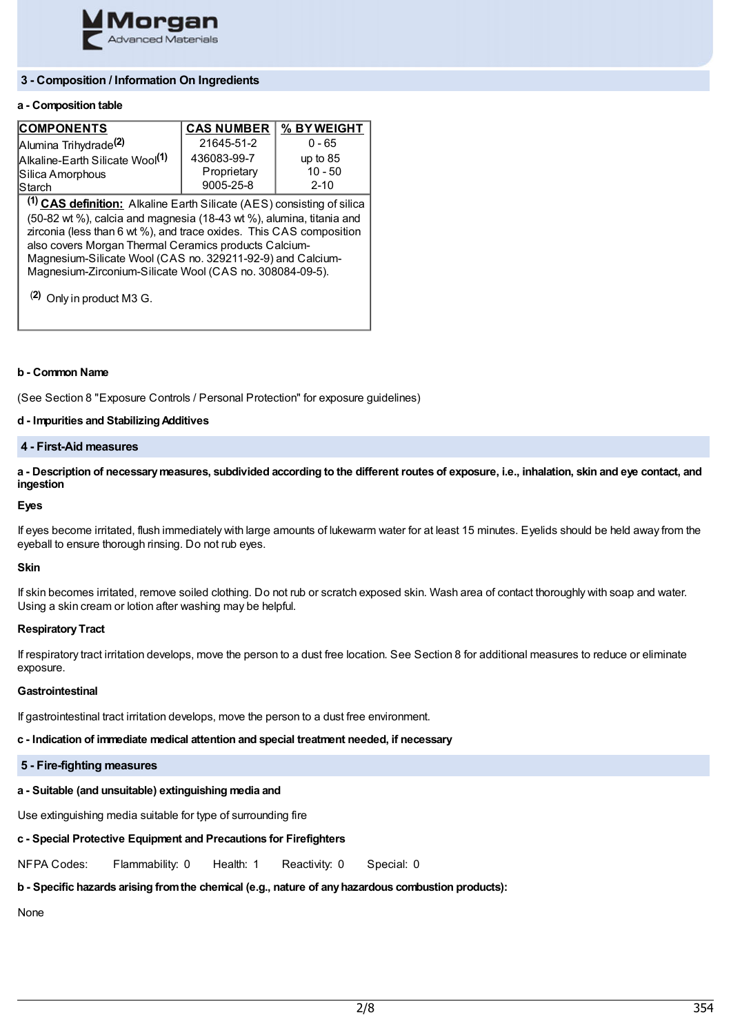

# **3 - Composition / Information On Ingredients**

# **a - Composition table**

| <b>COMPONENTS</b>                           | <b>CAS NUMBER   % BY WEIGHT</b> |            |
|---------------------------------------------|---------------------------------|------------|
| Alumina Trihydrade <sup>(2)</sup>           | 21645-51-2                      | $0 - 65$   |
| Alkaline-Earth Silicate Wool <sup>(1)</sup> | 436083-99-7                     | up to $85$ |
| Silica Amorphous                            | Proprietary                     | $10 - 50$  |
| Starch                                      | 9005-25-8                       | $2 - 10$   |

**(1) CAS definition:** Alkaline Earth Silicate (AES) consisting of silica (50-82 wt %), calcia and magnesia (18-43 wt %), alumina, titania and zirconia (less than 6 wt %), and trace oxides. This CAS composition also covers Morgan Thermal Ceramics products Calcium-Magnesium-Silicate Wool (CAS no. 329211-92-9) and Calcium-Magnesium-Zirconium-Silicate Wool (CAS no. 308084-09-5).

(**2)** Only in product M3 G.

#### **b - Common Name**

(See Section 8 "Exposure Controls / Personal Protection" for exposure guidelines)

#### **d - Impurities and StabilizingAdditives**

## **4 - First-Aid measures**

a - Description of necessary measures, subdivided according to the different routes of exposure, i.e., inhalation, skin and eye contact, and **ingestion**

# **Eyes**

If eyes become irritated, flush immediately with large amounts of lukewarm water for at least 15 minutes. Eyelids should be held away from the eyeball to ensure thorough rinsing. Do not rub eyes.

#### **Skin**

If skin becomes irritated, remove soiled clothing. Do not rub or scratch exposed skin. Wash area of contact thoroughly with soap and water. Using a skin cream or lotion after washing may be helpful.

#### **Respiratory Tract**

If respiratory tract irritation develops, move the person to a dust free location. See Section 8 for additional measures to reduce or eliminate exposure.

#### **Gastrointestinal**

If gastrointestinal tract irritation develops, move the person to a dust free environment.

**c - Indication of immediate medical attention and special treatment needed, if necessary**

#### **5 - Fire-fighting measures**

# **a - Suitable (and unsuitable) extinguishing media and**

Use extinguishing media suitable for type of surrounding fire

## **c - Special Protective Equipment and Precautions for Firefighters**

NFPA Codes: Flammability: 0 Health: 1 Reactivity: 0 Special: 0

# **b - Specific hazards arising fromthe chemical (e.g., nature of anyhazardous combustion products):**

None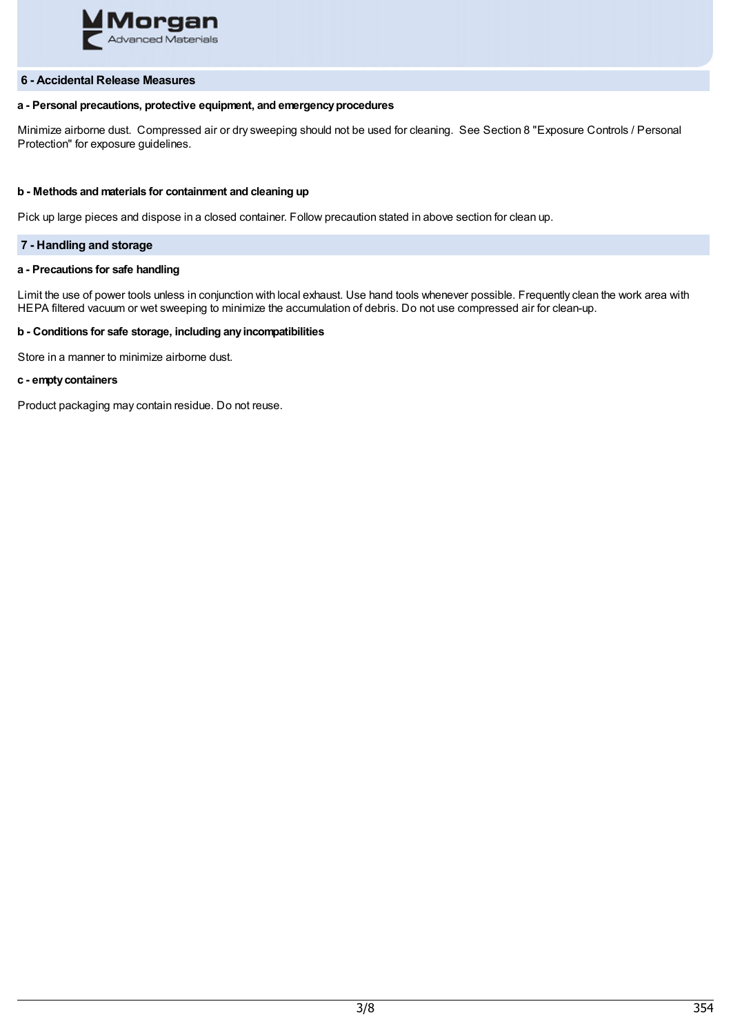

## **6 - Accidental Release Measures**

# **a - Personal precautions, protective equipment, and emergencyprocedures**

Minimize airborne dust. Compressed air or dry sweeping should not be used for cleaning. See Section 8 "Exposure Controls / Personal Protection" for exposure guidelines.

#### **b - Methods and materials for containment and cleaning up**

Pick up large pieces and dispose in a closed container. Follow precaution stated in above section for clean up.

# **7 - Handling and storage**

#### **a - Precautions for safe handling**

Limit the use of power tools unless in conjunction with local exhaust. Use hand tools whenever possible. Frequently clean the work area with HEPA filtered vacuum or wet sweeping to minimize the accumulation of debris. Do not use compressed air for clean-up.

# **b - Conditions for safe storage, including anyincompatibilities**

Store in a manner to minimize airborne dust.

#### **c - emptycontainers**

Product packaging may contain residue. Do not reuse.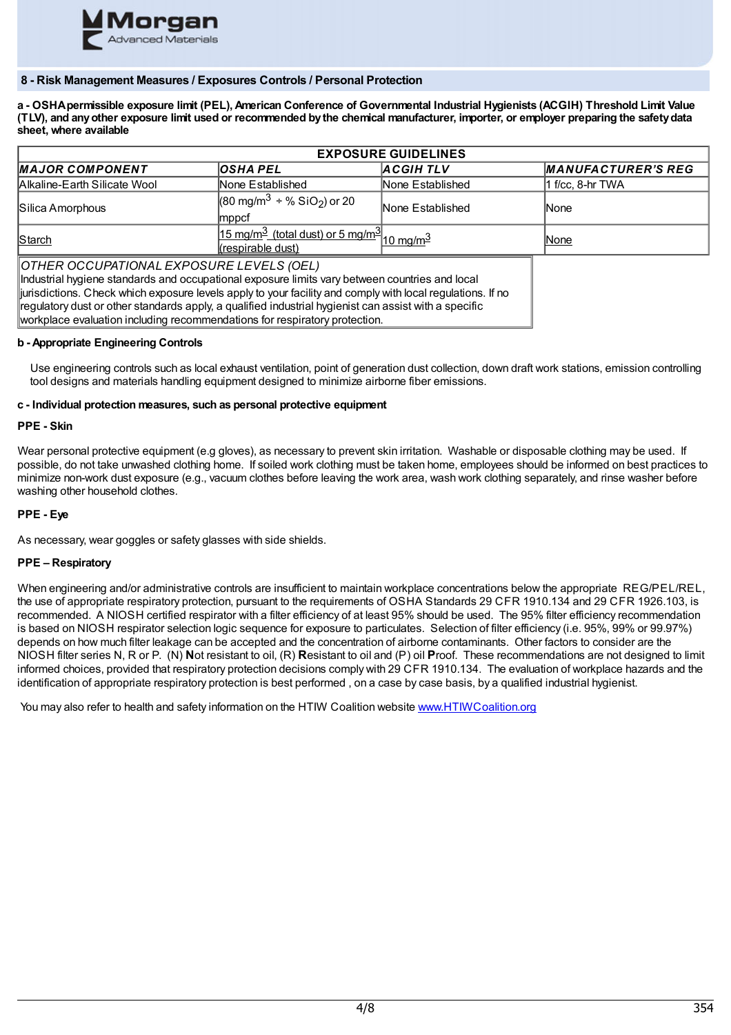

# **8 - Risk Management Measures / Exposures Controls / Personal Protection**

a - OSHA permissible exposure limit (PEL). American Conference of Governmental Industrial Hygienists (ACGIH) Threshold Limit Value (TLV), and any other exposure limit used or recommended by the chemical manufacturer, importer, or employer preparing the safety data **sheet, where available**

| <b>EXPOSURE GUIDELINES</b>                                                                                                                                                                                                                                                                                                                                                                                                                      |                                                                                                  |                  |                           |  |
|-------------------------------------------------------------------------------------------------------------------------------------------------------------------------------------------------------------------------------------------------------------------------------------------------------------------------------------------------------------------------------------------------------------------------------------------------|--------------------------------------------------------------------------------------------------|------------------|---------------------------|--|
| <b>MAJOR COMPONENT</b>                                                                                                                                                                                                                                                                                                                                                                                                                          | <b>OSHA PEL</b>                                                                                  | <b>ACGIHTLV</b>  | <b>MANUFACTURER'S REG</b> |  |
| Alkaline-Earth Silicate Wool                                                                                                                                                                                                                                                                                                                                                                                                                    | None Established                                                                                 | None Established | 1 f/cc, 8-hr TWA          |  |
| Silica Amorphous                                                                                                                                                                                                                                                                                                                                                                                                                                | $(80 \text{ mg/m}^3 \div \% \text{SiO}_2)$ or 20<br> mppcf                                       | None Established | <b>None</b>               |  |
| Starch                                                                                                                                                                                                                                                                                                                                                                                                                                          | $15 \text{ mg/m}^3$ (total dust) or 5 mg/m <sup>3</sup> $10 \text{ mg/m}^3$<br>(respirable dust) |                  | None                      |  |
| OTHER OCCUPATIONAL EXPOSURE LEVELS (OEL)<br>Industrial hygiene standards and occupational exposure limits vary between countries and local<br>iurisdictions. Check which exposure levels apply to your facility and comply with local regulations. If no<br>regulatory dust or other standards apply, a qualified industrial hygienist can assist with a specific<br>workplace evaluation including recommendations for respiratory protection. |                                                                                                  |                  |                           |  |

#### **b - Appropriate Engineering Controls**

Use engineering controls such as local exhaust ventilation, point of generation dust collection, down draft work stations, emission controlling tool designs and materials handling equipment designed to minimize airborne fiber emissions.

#### **c - Individual protection measures, such as personal protective equipment**

#### **PPE - Skin**

Wear personal protective equipment (e.g gloves), as necessary to prevent skin irritation. Washable or disposable clothing may be used. If possible, do not take unwashed clothing home. If soiled work clothing must be taken home, employees should be informed on best practices to minimize non-work dust exposure (e.g., vacuum clothes before leaving the work area, wash work clothing separately, and rinse washer before washing other household clothes.

# **PPE - Eye**

As necessary, wear goggles or safety glasses with side shields.

# **PPE – Respiratory**

When engineering and/or administrative controls are insufficient to maintain workplace concentrations below the appropriate REG/PEL/REL, the use of appropriate respiratory protection, pursuant to the requirements of OSHA Standards 29 CFR 1910.134 and 29 CFR 1926.103, is recommended. A NIOSH certified respirator with a filter efficiency of at least 95% should be used. The 95% filter efficiency recommendation is based on NIOSH respirator selection logic sequence for exposure to particulates. Selection of filter efficiency (i.e. 95%, 99% or 99.97%) depends on how much filter leakage can be accepted and the concentration of airborne contaminants. Other factors to consider are the NIOSH filter series N, R or P. (N) **N**ot resistant to oil, (R) **R**esistant to oil and (P) oil **P**roof. These recommendations are not designed to limit informed choices, provided that respiratory protection decisions comply with 29 CFR 1910.134. The evaluation of workplace hazards and the identification of appropriate respiratory protection is best performed , on a case by case basis, by a qualified industrial hygienist.

You may also refer to health and safety information on the HTIW Coalition website [www.HTIWCoalition.org](http://www.htiwcoalition.org/)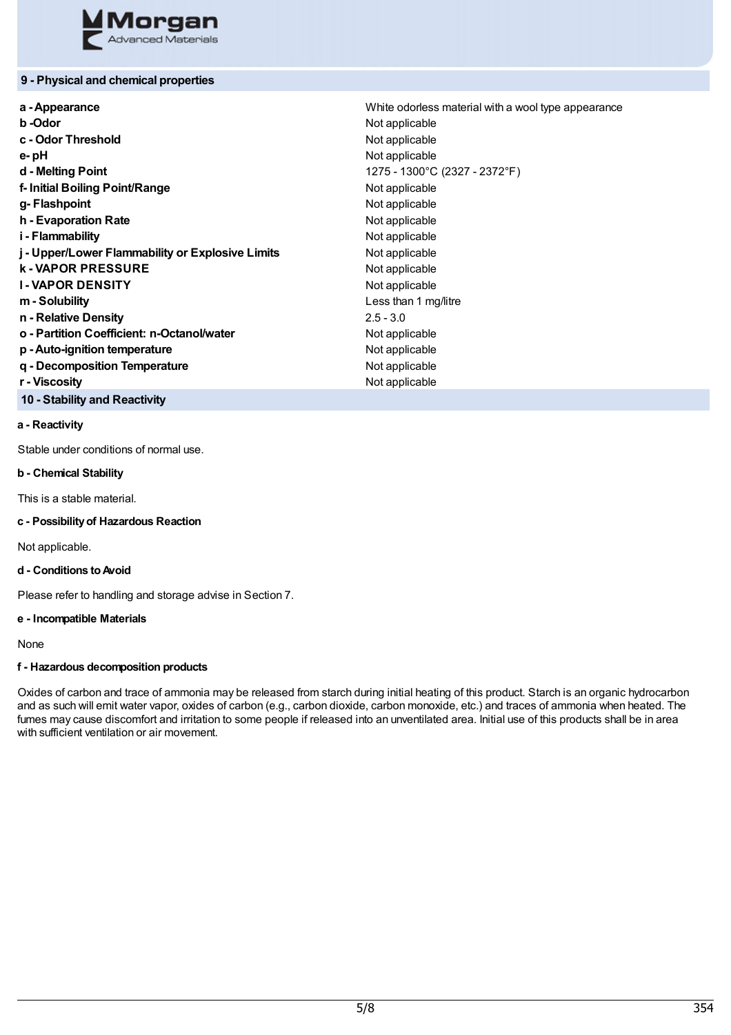

# **9 - Physical and chemical properties**

| a - Appearance                                   | White odorless material with a wool type appearance |
|--------------------------------------------------|-----------------------------------------------------|
| b-Odor                                           | Not applicable                                      |
| c - Odor Threshold                               | Not applicable                                      |
| e-pH                                             | Not applicable                                      |
| d - Melting Point                                | 1275 - 1300°C (2327 - 2372°F)                       |
| f-Initial Boiling Point/Range                    | Not applicable                                      |
| g-Flashpoint                                     | Not applicable                                      |
| h - Evaporation Rate                             | Not applicable                                      |
| i - Flammability                                 | Not applicable                                      |
| j - Upper/Lower Flammability or Explosive Limits | Not applicable                                      |
| <b>k-VAPOR PRESSURE</b>                          | Not applicable                                      |
| <b>I-VAPOR DENSITY</b>                           | Not applicable                                      |
| m - Solubility                                   | Less than 1 mg/litre                                |
| n - Relative Density                             | $2.5 - 3.0$                                         |
| o - Partition Coefficient: n-Octanol/water       | Not applicable                                      |
| p - Auto-ignition temperature                    | Not applicable                                      |
| q - Decomposition Temperature                    | Not applicable                                      |
| r - Viscosity                                    | Not applicable                                      |
|                                                  |                                                     |

# **10 - Stability and Reactivity**

## **a - Reactivity**

Stable under conditions of normal use.

# **b - Chemical Stability**

This is a stable material.

**c - Possibilityof Hazardous Reaction**

Not applicable.

# **d - Conditions toAvoid**

Please refer to handling and storage advise in Section 7.

#### **e - Incompatible Materials**

None

## **f - Hazardous decomposition products**

Oxides of carbon and trace of ammonia may be released from starch during initial heating of this product. Starch is an organic hydrocarbon and as such will emit water vapor, oxides of carbon (e.g., carbon dioxide, carbon monoxide, etc.) and traces of ammonia when heated. The fumes may cause discomfort and irritation to some people if released into an unventilated area. Initial use of this products shall be in area with sufficient ventilation or air movement.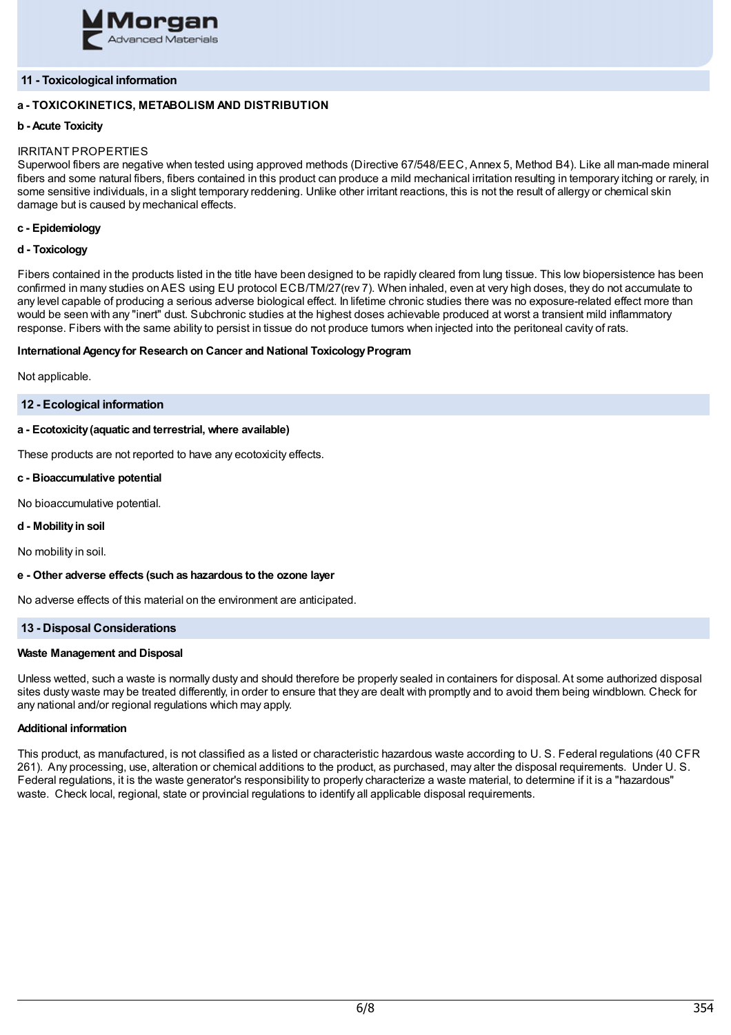

# **11 - Toxicological information**

# **a - TOXICOKINETICS, METABOLISM AND DISTRIBUTION**

# **b - Acute Toxicity**

# IRRITANT PROPERTIES

Superwool fibers are negative when tested using approved methods (Directive 67/548/EEC, Annex 5, Method B4). Like all man-made mineral fibers and some natural fibers, fibers contained in this product can produce a mild mechanical irritation resulting in temporary itching or rarely, in some sensitive individuals, in a slight temporary reddening. Unlike other irritant reactions, this is not the result of allergy or chemical skin damage but is caused by mechanical effects.

# **c - Epidemiology**

#### **d - Toxicology**

Fibers contained in the products listed in the title have been designed to be rapidly cleared from lung tissue. This low biopersistence has been confirmed in many studies onAES using EU protocol ECB/TM/27(rev 7). When inhaled, even at very high doses, they do not accumulate to any level capable of producing a serious adverse biological effect. In lifetime chronic studies there was no exposure-related effect more than would be seen with any "inert" dust. Subchronic studies at the highest doses achievable produced at worst a transient mild inflammatory response. Fibers with the same ability to persist in tissue do not produce tumors when injected into the peritoneal cavity of rats.

#### **International Agency for Research on Cancer and National Toxicology Program**

Not applicable.

#### **12 - Ecological information**

## **a - Ecotoxicity(aquatic and terrestrial, where available)**

These products are not reported to have any ecotoxicity effects.

#### **c - Bioaccumulative potential**

No bioaccumulative potential.

#### **d - Mobilityin soil**

No mobility in soil.

#### **e - Other adverse effects (such as hazardous to the ozone layer**

No adverse effects of this material on the environment are anticipated.

# **13 - Disposal Considerations**

#### **Waste Management and Disposal**

Unless wetted, such a waste is normally dusty and should therefore be properly sealed in containers for disposal. At some authorized disposal sites dusty waste may be treated differently, in order to ensure that they are dealt with promptly and to avoid them being windblown. Check for any national and/or regional regulations which may apply.

# **Additional information**

This product, as manufactured, is not classified as a listed or characteristic hazardous waste according to U. S. Federal regulations (40 CFR 261). Any processing, use, alteration or chemical additions to the product, as purchased, may alter the disposal requirements. Under U. S. Federal regulations, it is the waste generator's responsibility to properly characterize a waste material, to determine if it is a "hazardous" waste. Check local, regional, state or provincial regulations to identify all applicable disposal requirements.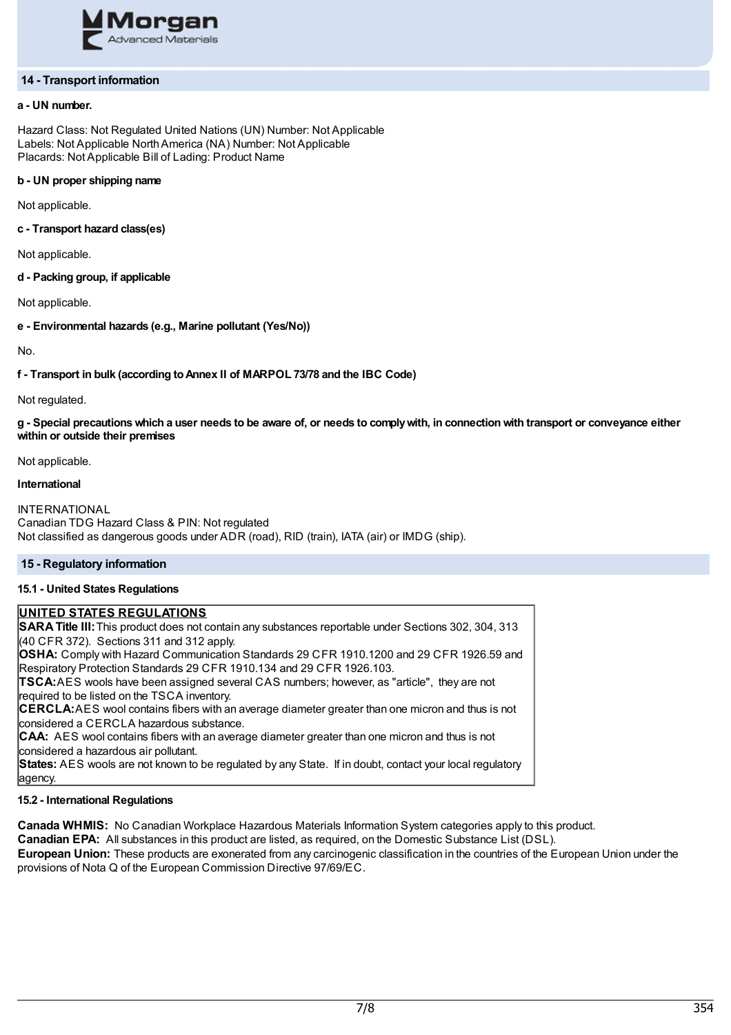

# **14 - Transport information**

## **a - UN number.**

Hazard Class: Not Regulated United Nations (UN) Number: Not Applicable Labels: Not Applicable NorthAmerica (NA) Number: Not Applicable Placards: Not Applicable Bill of Lading: Product Name

# **b - UN proper shipping name**

Not applicable.

#### **c - Transport hazard class(es)**

Not applicable.

# **d - Packing group, if applicable**

Not applicable.

## **e - Environmental hazards (e.g., Marine pollutant (Yes/No))**

No.

#### **f - Transport in bulk (according toAnnex II of MARPOL 73/78 and the IBC Code)**

Not regulated.

g - Special precautions which a user needs to be aware of, or needs to comply with, in connection with transport or conveyance either **within or outside their premises**

Not applicable.

# **International**

INTERNATIONAL Canadian TDG Hazard Class & PIN: Not regulated Not classified as dangerous goods under ADR (road), RID (train), IATA (air) or IMDG (ship).

# **15 - Regulatory information**

# **15.1 - United States Regulations**

# **UNITED STATES REGULATIONS**

**SARATitle III:**This product does not contain any substances reportable under Sections 302, 304, 313 (40 CFR 372). Sections 311 and 312 apply.

**OSHA:** Comply with Hazard Communication Standards 29 CFR 1910.1200 and 29 CFR 1926.59 and Respiratory Protection Standards 29 CFR 1910.134 and 29 CFR 1926.103.

**TSCA:**AES wools have been assigned several CAS numbers; however, as "article", they are not required to be listed on the TSCA inventory.

**CERCLA:**AES wool contains fibers with an average diameter greater than one micron and thus is not considered a CERCLA hazardous substance.

**CAA:** AES wool contains fibers with an average diameter greater than one micron and thus is not considered a hazardous air pollutant.

**States:** AES wools are not known to be regulated by any State. If in doubt, contact your local regulatory agency.

#### **15.2 - International Regulations**

**Canada WHMIS:** No Canadian Workplace Hazardous Materials Information System categories apply to this product.

**Canadian EPA:** All substances in this product are listed, as required, on the Domestic Substance List (DSL).

**European Union:** These products are exonerated from any carcinogenic classification in the countries of the European Union under the provisions of Nota Q of the European Commission Directive 97/69/EC.